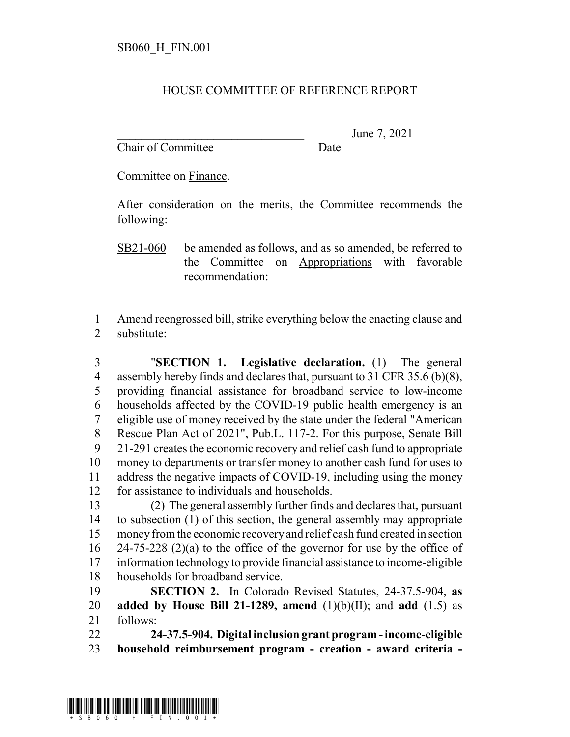## HOUSE COMMITTEE OF REFERENCE REPORT

Chair of Committee Date

June 7, 2021

Committee on Finance.

After consideration on the merits, the Committee recommends the following:

SB21-060 be amended as follows, and as so amended, be referred to the Committee on Appropriations with favorable recommendation:

 Amend reengrossed bill, strike everything below the enacting clause and substitute:

 "**SECTION 1. Legislative declaration.** (1) The general 4 assembly hereby finds and declares that, pursuant to 31 CFR 35.6 (b)(8), providing financial assistance for broadband service to low-income households affected by the COVID-19 public health emergency is an eligible use of money received by the state under the federal "American Rescue Plan Act of 2021", Pub.L. 117-2. For this purpose, Senate Bill 21-291 creates the economic recovery and relief cash fund to appropriate money to departments or transfer money to another cash fund for uses to address the negative impacts of COVID-19, including using the money for assistance to individuals and households.

 (2) The general assembly further finds and declares that, pursuant to subsection (1) of this section, the general assembly may appropriate money from the economic recovery and relief cash fund created in section 24-75-228 (2)(a) to the office of the governor for use by the office of information technology to provide financial assistance to income-eligible households for broadband service.

 **SECTION 2.** In Colorado Revised Statutes, 24-37.5-904, **as added by House Bill 21-1289, amend** (1)(b)(II); and **add** (1.5) as follows:

 **24-37.5-904. Digital inclusion grant program - income-eligible household reimbursement program - creation - award criteria -**

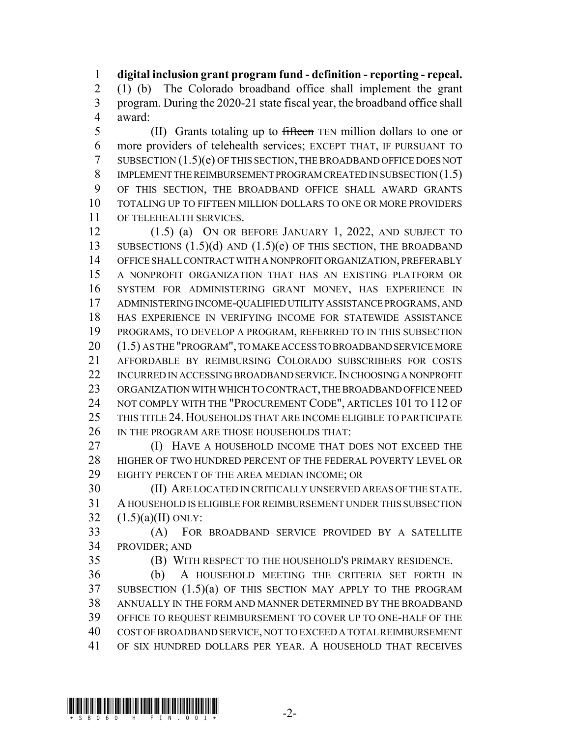**digital inclusion grant program fund - definition - reporting - repeal.** (1) (b) The Colorado broadband office shall implement the grant program. During the 2020-21 state fiscal year, the broadband office shall award:

5 (II) Grants totaling up to fifteen TEN million dollars to one or more providers of telehealth services; EXCEPT THAT, IF PURSUANT TO SUBSECTION (1.5)(e) OF THIS SECTION, THE BROADBAND OFFICE DOES NOT IMPLEMENT THE REIMBURSEMENT PROGRAM CREATED IN SUBSECTION (1.5) OF THIS SECTION, THE BROADBAND OFFICE SHALL AWARD GRANTS TOTALING UP TO FIFTEEN MILLION DOLLARS TO ONE OR MORE PROVIDERS OF TELEHEALTH SERVICES.

 (1.5) (a) ON OR BEFORE JANUARY 1, 2022, AND SUBJECT TO 13 SUBSECTIONS (1.5)(d) AND (1.5)(e) OF THIS SECTION, THE BROADBAND OFFICE SHALL CONTRACT WITH A NONPROFIT ORGANIZATION, PREFERABLY A NONPROFIT ORGANIZATION THAT HAS AN EXISTING PLATFORM OR SYSTEM FOR ADMINISTERING GRANT MONEY, HAS EXPERIENCE IN ADMINISTERING INCOME-QUALIFIED UTILITY ASSISTANCE PROGRAMS, AND HAS EXPERIENCE IN VERIFYING INCOME FOR STATEWIDE ASSISTANCE PROGRAMS, TO DEVELOP A PROGRAM, REFERRED TO IN THIS SUBSECTION (1.5) AS THE "PROGRAM", TO MAKE ACCESS TO BROADBAND SERVICE MORE AFFORDABLE BY REIMBURSING COLORADO SUBSCRIBERS FOR COSTS 22 INCURRED IN ACCESSING BROADBAND SERVICE. IN CHOOSING A NONPROFIT ORGANIZATION WITH WHICH TO CONTRACT, THE BROADBAND OFFICE NEED 24 NOT COMPLY WITH THE "PROCUREMENT CODE", ARTICLES 101 TO 112 OF THIS TITLE 24. HOUSEHOLDS THAT ARE INCOME ELIGIBLE TO PARTICIPATE 26 IN THE PROGRAM ARE THOSE HOUSEHOLDS THAT:

**(I) HAVE A HOUSEHOLD INCOME THAT DOES NOT EXCEED THE**  HIGHER OF TWO HUNDRED PERCENT OF THE FEDERAL POVERTY LEVEL OR EIGHTY PERCENT OF THE AREA MEDIAN INCOME; OR

 (II) ARE LOCATED IN CRITICALLY UNSERVED AREAS OF THE STATE. A HOUSEHOLD IS ELIGIBLE FOR REIMBURSEMENT UNDER THIS SUBSECTION 32  $(1.5)(a)(II)$  ONLY:

 (A) FOR BROADBAND SERVICE PROVIDED BY A SATELLITE PROVIDER; AND

(B) WITH RESPECT TO THE HOUSEHOLD'S PRIMARY RESIDENCE.

 (b) A HOUSEHOLD MEETING THE CRITERIA SET FORTH IN SUBSECTION (1.5)(a) OF THIS SECTION MAY APPLY TO THE PROGRAM ANNUALLY IN THE FORM AND MANNER DETERMINED BY THE BROADBAND OFFICE TO REQUEST REIMBURSEMENT TO COVER UP TO ONE-HALF OF THE COST OF BROADBAND SERVICE, NOT TO EXCEED A TOTAL REIMBURSEMENT OF SIX HUNDRED DOLLARS PER YEAR. A HOUSEHOLD THAT RECEIVES

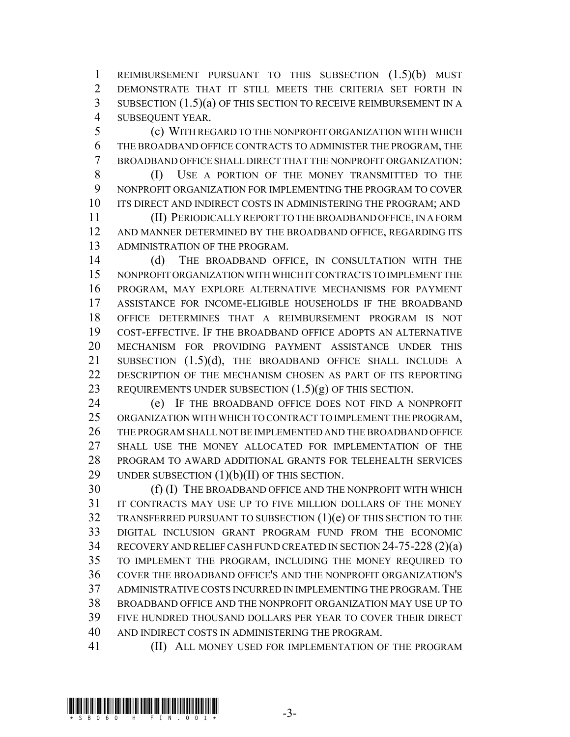REIMBURSEMENT PURSUANT TO THIS SUBSECTION (1.5)(b) MUST DEMONSTRATE THAT IT STILL MEETS THE CRITERIA SET FORTH IN SUBSECTION (1.5)(a) OF THIS SECTION TO RECEIVE REIMBURSEMENT IN A SUBSEQUENT YEAR.

 (c) WITH REGARD TO THE NONPROFIT ORGANIZATION WITH WHICH THE BROADBAND OFFICE CONTRACTS TO ADMINISTER THE PROGRAM, THE BROADBAND OFFICE SHALL DIRECT THAT THE NONPROFIT ORGANIZATION:

 (I) USE A PORTION OF THE MONEY TRANSMITTED TO THE NONPROFIT ORGANIZATION FOR IMPLEMENTING THE PROGRAM TO COVER 10 ITS DIRECT AND INDIRECT COSTS IN ADMINISTERING THE PROGRAM; AND

 (II) PERIODICALLY REPORT TO THE BROADBAND OFFICE, IN A FORM AND MANNER DETERMINED BY THE BROADBAND OFFICE, REGARDING ITS ADMINISTRATION OF THE PROGRAM.

 (d) THE BROADBAND OFFICE, IN CONSULTATION WITH THE NONPROFIT ORGANIZATION WITH WHICH IT CONTRACTS TO IMPLEMENT THE PROGRAM, MAY EXPLORE ALTERNATIVE MECHANISMS FOR PAYMENT ASSISTANCE FOR INCOME-ELIGIBLE HOUSEHOLDS IF THE BROADBAND OFFICE DETERMINES THAT A REIMBURSEMENT PROGRAM IS NOT COST-EFFECTIVE. IF THE BROADBAND OFFICE ADOPTS AN ALTERNATIVE MECHANISM FOR PROVIDING PAYMENT ASSISTANCE UNDER THIS 21 SUBSECTION (1.5)(d), THE BROADBAND OFFICE SHALL INCLUDE A DESCRIPTION OF THE MECHANISM CHOSEN AS PART OF ITS REPORTING 23 REQUIREMENTS UNDER SUBSECTION  $(1.5)(g)$  OF THIS SECTION.

 (e) IF THE BROADBAND OFFICE DOES NOT FIND A NONPROFIT ORGANIZATION WITH WHICH TO CONTRACT TO IMPLEMENT THE PROGRAM, THE PROGRAM SHALL NOT BE IMPLEMENTED AND THE BROADBAND OFFICE SHALL USE THE MONEY ALLOCATED FOR IMPLEMENTATION OF THE PROGRAM TO AWARD ADDITIONAL GRANTS FOR TELEHEALTH SERVICES 29 UNDER SUBSECTION  $(1)(b)(II)$  OF THIS SECTION.

30 (f) (I) THE BROADBAND OFFICE AND THE NONPROFIT WITH WHICH IT CONTRACTS MAY USE UP TO FIVE MILLION DOLLARS OF THE MONEY TRANSFERRED PURSUANT TO SUBSECTION (1)(e) OF THIS SECTION TO THE DIGITAL INCLUSION GRANT PROGRAM FUND FROM THE ECONOMIC RECOVERY AND RELIEF CASH FUND CREATED IN SECTION 24-75-228 (2)(a) TO IMPLEMENT THE PROGRAM, INCLUDING THE MONEY REQUIRED TO COVER THE BROADBAND OFFICE'S AND THE NONPROFIT ORGANIZATION'S ADMINISTRATIVE COSTS INCURRED IN IMPLEMENTING THE PROGRAM.THE BROADBAND OFFICE AND THE NONPROFIT ORGANIZATION MAY USE UP TO FIVE HUNDRED THOUSAND DOLLARS PER YEAR TO COVER THEIR DIRECT AND INDIRECT COSTS IN ADMINISTERING THE PROGRAM.

**(II) ALL MONEY USED FOR IMPLEMENTATION OF THE PROGRAM**